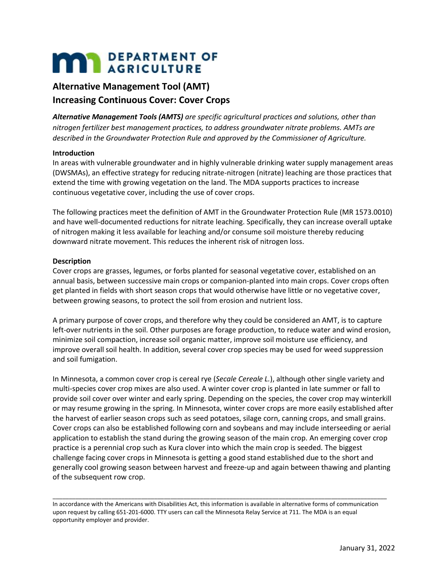# **MARIA DEPARTMENT OF**

## **Alternative Management Tool (AMT) Increasing Continuous Cover: Cover Crops**

*Alternative Management Tools (AMTS) are specific agricultural practices and solutions, other than nitrogen fertilizer best management practices, to address groundwater nitrate problems. AMTs are described in the Groundwater Protection Rule and approved by the Commissioner of Agriculture.* 

#### **Introduction**

In areas with vulnerable groundwater and in highly vulnerable drinking water supply management areas (DWSMAs), an effective strategy for reducing nitrate-nitrogen (nitrate) leaching are those practices that extend the time with growing vegetation on the land. The MDA supports practices to increase continuous vegetative cover, including the use of cover crops.

The following practices meet the definition of AMT in the Groundwater Protection Rule (MR 1573.0010) and have well-documented reductions for nitrate leaching. Specifically, they can increase overall uptake of nitrogen making it less available for leaching and/or consume soil moisture thereby reducing downward nitrate movement. This reduces the inherent risk of nitrogen loss.

#### **Description**

Cover crops are grasses, legumes, or forbs planted for seasonal vegetative cover, established on an annual basis, between successive main crops or companion-planted into main crops. Cover crops often get planted in fields with short season crops that would otherwise have little or no vegetative cover, between growing seasons, to protect the soil from erosion and nutrient loss.

A primary purpose of cover crops, and therefore why they could be considered an AMT, is to capture left-over nutrients in the soil. Other purposes are forage production, to reduce water and wind erosion, minimize soil compaction, increase soil organic matter, improve soil moisture use efficiency, and improve overall soil health. In addition, several cover crop species may be used for weed suppression and soil fumigation.

In Minnesota, a common cover crop is cereal rye (*Secale Cereale L.*), although other single variety and multi-species cover crop mixes are also used. A winter cover crop is planted in late summer or fall to provide soil cover over winter and early spring. Depending on the species, the cover crop may winterkill or may resume growing in the spring. In Minnesota, winter cover crops are more easily established after the harvest of earlier season crops such as seed potatoes, silage corn, canning crops, and small grains. Cover crops can also be established following corn and soybeans and may include interseeding or aerial application to establish the stand during the growing season of the main crop. An emerging cover crop practice is a perennial crop such as Kura clover into which the main crop is seeded. The biggest challenge facing cover crops in Minnesota is getting a good stand established due to the short and generally cool growing season between harvest and freeze-up and again between thawing and planting of the subsequent row crop.

In accordance with the Americans with Disabilities Act, this information is available in alternative forms of communication upon request by calling 651-201-6000. TTY users can call the Minnesota Relay Service at 711. The MDA is an equal opportunity employer and provider.

\_\_\_\_\_\_\_\_\_\_\_\_\_\_\_\_\_\_\_\_\_\_\_\_\_\_\_\_\_\_\_\_\_\_\_\_\_\_\_\_\_\_\_\_\_\_\_\_\_\_\_\_\_\_\_\_\_\_\_\_\_\_\_\_\_\_\_\_\_\_\_\_\_\_\_\_\_\_\_\_\_\_\_\_\_\_\_\_\_\_\_\_\_\_\_\_\_\_\_\_\_\_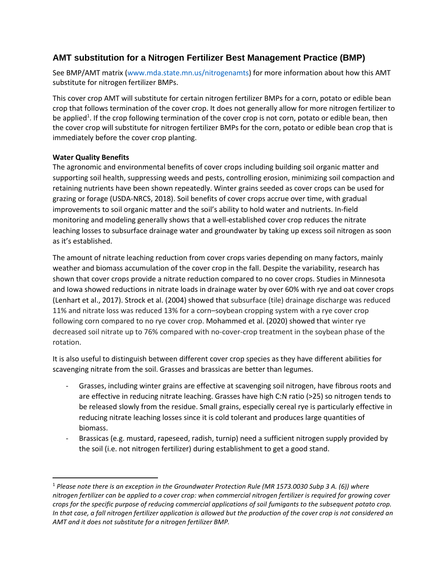### **AMT substitution for a Nitrogen Fertilizer Best Management Practice (BMP)**

See BMP/AMT matrix (www.mda.state.mn.us/nitrogenamts) for more information about how this AMT substitute for nitrogen fertilizer BMPs.

This cover crop AMT will substitute for certain nitrogen fertilizer BMPs for a corn, potato or edible bean crop that follows termination of the cover crop. It does not generally allow for more nitrogen fertilizer to be applied<sup>1</sup>. If the crop following termination of the cover crop is not corn, potato or edible bean, then the cover crop will substitute for nitrogen fertilizer BMPs for the corn, potato or edible bean crop that is immediately before the cover crop planting.

#### **Water Quality Benefits**

The agronomic and environmental benefits of cover crops including building soil organic matter and supporting soil health, suppressing weeds and pests, controlling erosion, minimizing soil compaction and retaining nutrients have been shown repeatedly. Winter grains seeded as cover crops can be used for grazing or forage (USDA-NRCS, 2018). Soil benefits of cover crops accrue over time, with gradual improvements to soil organic matter and the soil's ability to hold water and nutrients. In-field monitoring and modeling generally shows that a well-established cover crop reduces the nitrate leaching losses to subsurface drainage water and groundwater by taking up excess soil nitrogen as soon as it's established.

The amount of nitrate leaching reduction from cover crops varies depending on many factors, mainly weather and biomass accumulation of the cover crop in the fall. Despite the variability, research has shown that cover crops provide a nitrate reduction compared to no cover crops. Studies in Minnesota and Iowa showed reductions in nitrate loads in drainage water by over 60% with rye and oat cover crops (Lenhart et al., 2017). Strock et al. (2004) showed that subsurface (tile) drainage discharge was reduced 11% and nitrate loss was reduced 13% for a corn–soybean cropping system with a rye cover crop following corn compared to no rye cover crop. Mohammed et al. (2020) showed that winter rye decreased soil nitrate up to 76% compared with no-cover-crop treatment in the soybean phase of the rotation.

It is also useful to distinguish between different cover crop species as they have different abilities for scavenging nitrate from the soil. Grasses and brassicas are better than legumes.

- Grasses, including winter grains are effective at scavenging soil nitrogen, have fibrous roots and are effective in reducing nitrate leaching. Grasses have high C:N ratio (>25) so nitrogen tends to be released slowly from the residue. Small grains, especially cereal rye is particularly effective in reducing nitrate leaching losses since it is cold tolerant and produces large quantities of biomass.
- Brassicas (e.g. mustard, rapeseed, radish, turnip) need a sufficient nitrogen supply provided by the soil (i.e. not nitrogen fertilizer) during establishment to get a good stand.

<sup>1</sup> *Please note there is an exception in the Groundwater Protection Rule (MR 1573.0030 Subp 3 A. (6)) where nitrogen fertilizer can be applied to a cover crop: when commercial nitrogen fertilizer is required for growing cover crops for the specific purpose of reducing commercial applications of soil fumigants to the subsequent potato crop. In that case, a fall nitrogen fertilizer application is allowed but the production of the cover crop is not considered an AMT and it does not substitute for a nitrogen fertilizer BMP.*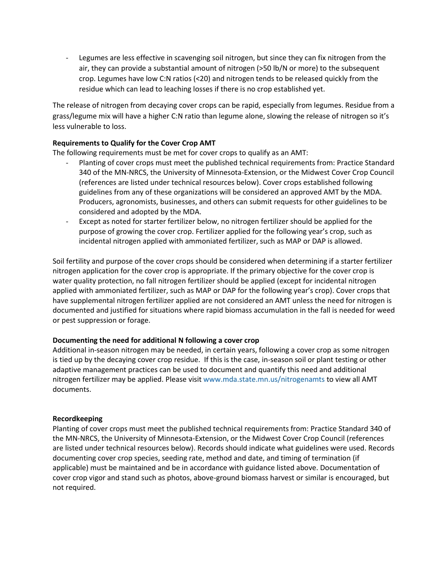Legumes are less effective in scavenging soil nitrogen, but since they can fix nitrogen from the air, they can provide a substantial amount of nitrogen (>50 lb/N or more) to the subsequent crop. Legumes have low C:N ratios (<20) and nitrogen tends to be released quickly from the residue which can lead to leaching losses if there is no crop established yet.

The release of nitrogen from decaying cover crops can be rapid, especially from legumes. Residue from a grass/legume mix will have a higher C:N ratio than legume alone, slowing the release of nitrogen so it's less vulnerable to loss.

#### **Requirements to Qualify for the Cover Crop AMT**

The following requirements must be met for cover crops to qualify as an AMT:

- Planting of cover crops must meet the published technical requirements from: Practice Standard 340 of the MN-NRCS, the University of Minnesota-Extension, or the Midwest Cover Crop Council (references are listed under technical resources below). Cover crops established following guidelines from any of these organizations will be considered an approved AMT by the MDA. Producers, agronomists, businesses, and others can submit requests for other guidelines to be considered and adopted by the MDA.
- Except as noted for starter fertilizer below, no nitrogen fertilizer should be applied for the purpose of growing the cover crop. Fertilizer applied for the following year's crop, such as incidental nitrogen applied with ammoniated fertilizer, such as MAP or DAP is allowed.

Soil fertility and purpose of the cover crops should be considered when determining if a starter fertilizer nitrogen application for the cover crop is appropriate. If the primary objective for the cover crop is water quality protection, no fall nitrogen fertilizer should be applied (except for incidental nitrogen applied with ammoniated fertilizer, such as MAP or DAP for the following year's crop). Cover crops that have supplemental nitrogen fertilizer applied are not considered an AMT unless the need for nitrogen is documented and justified for situations where rapid biomass accumulation in the fall is needed for weed or pest suppression or forage.

#### **Documenting the need for additional N following a cover crop**

Additional in-season nitrogen may be needed, in certain years, following a cover crop as some nitrogen is tied up by the decaying cover crop residue. If this is the case, in-season soil or plant testing or other adaptive management practices can be used to document and quantify this need and additional nitrogen fertilizer may be applied. Please visit www.mda.state.mn.us/nitrogenamts to view all AMT documents.

#### **Recordkeeping**

Planting of cover crops must meet the published technical requirements from: Practice Standard 340 of the MN-NRCS, the University of Minnesota-Extension, or the Midwest Cover Crop Council (references are listed under technical resources below). Records should indicate what guidelines were used. Records documenting cover crop species, seeding rate, method and date, and timing of termination (if applicable) must be maintained and be in accordance with guidance listed above. Documentation of cover crop vigor and stand such as photos, above-ground biomass harvest or similar is encouraged, but not required.